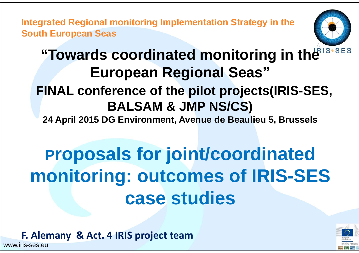**Integrated Regional monitoring Implementation Strategy in the South European Seas**



# **"Towards coordinated monitoring in the BIS.SES European Regional Seas" FINAL conference of the pilot projects(IRIS-SES, BALSAM & JMP NS/CS)**

**24 April 2015 DG Environment, Avenue de Beaulieu 5, Brussels** 

# **Proposals for joint/coordinated monitoring: outcomes of IRIS-SES case studies**

**F. Alemany & Act. 4 IRIS project team**



www.iris-ses.eu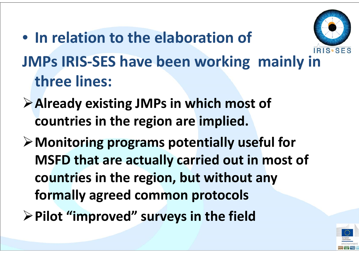

- **JMPs IRIS‐SES have been working mainly in three lines:**
- **Already existing JMPs in which most of countries in the region are implied.**

• **In relation to the elaboration of**

- **Monitoring programs potentially useful for MSFD that are actually carried out in most of countries in the region, but without any formally agreed common protocols**
- **Pilot "improved" surveys in the field**

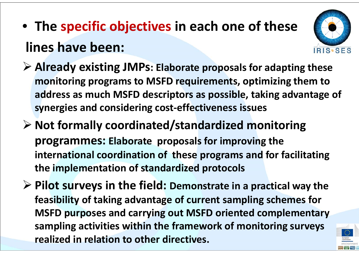# • **The specific objectives in each one of these lines have been:**



- **Already existing JMPs: Elaborate proposals for adapting these monitoring programs to MSFD requirements, optimizing them to address as much MSFD descriptors as possible, taking advantage of synergies and considering cost‐effectiveness issues**
- **Not formally coordinated/standardized monitoring programmes: Elaborate proposals for improving the international coordination of these programs and for facilitating the implementation of standardized protocols**
- **Pilot surveys in the field: Demonstrate in <sup>a</sup> practical way the feasibility of taking advantage of current sampling schemes for MSFD purposes and carrying out MSFD oriented complementary sampling activities within the framework of monitoring surveys realized in relation to other directives.**

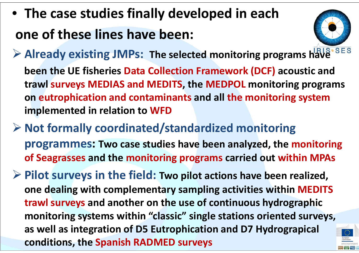• **The case studies finally developed in each one of these lines have been:**



**Already existing JMPs: The selected monitoring programs have**

**been the UE fisheries Data Collection Framework (DCF) acoustic and trawl surveys MEDIAS and MEDITS, the MEDPOL monitoring programs on eutrophication and contaminants and all the monitoring system implemented in relation to WFD**

 **Not formally coordinated/standardized monitoring programmes: Two case studies have been analyzed, the monitoring of Seagrasses and the monitoring programs carried out within MPAs**

 **Pilot surveys in the field: Two pilot actions have been realized, one dealing with complementary sampling activities within MEDITS trawl surveys and another on the use of continuous hydrographic monitoring systems within "classic" single stations oriented surveys, as well as integration of D5 Eutrophication and D7 Hydrograpical conditions, the Spanish RADMED surveys**

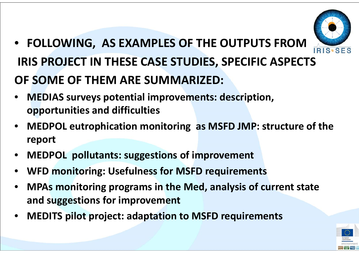

- **FOLLOWING, AS EXAMPLES OF THE OUTPUTS FROM IRIS PROJECT IN THESE CASE STUDIES, SPECIFIC ASPECTS OF SOME OF THEM ARE SUMMARIZED:**
- • **MEDIAS surveys potential improvements: description, opportunities and difficulties**
- • **MEDPOL eutrophication monitoring as MSFD JMP: structure of the report**
- •**MEDPOL pollutants: suggestions of improvement**
- •**WFD monitoring: Usefulness for MSFD requirements**
- • **MPAs monitoring programs in the Med, analysis of current state and suggestions for improvement**
- •**MEDITS pilot project: adaptation to MSFD requirements**

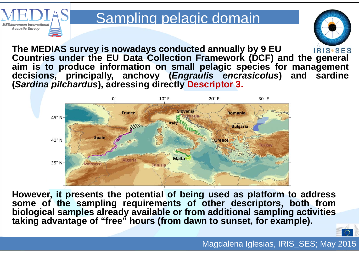

# Sampling pelagic domain



**The MEDIAS survey is nowadays conducted annually by 9 EU IRIS.SES Countries under the EU Data Collection Framework (DCF) and the general aim is to produce information on small pelagic species for management decisions, principally, anchovy (***Engraulis encrasicolus***) and sardine (***Sardina pilchardus***), adressing directly Descriptor 3.**



However, it presents the potential of being used as platform to address **some of the sampling requirements of other descriptors, both from biological samples already available or from additional sampling activities taking advantage of "free" hours (from dawn to sunset, for example).**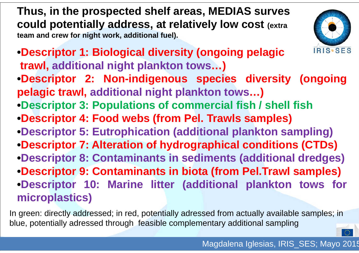**Thus, in the prospected shelf areas, MEDIAS surves could potentially address, at relatively low cost (extra team and crew for night work, additional fuel).**



- **•Descriptor 1: Biological diversity (ongoing pelagic trawl, additional night plankton tows…)**
- **•Descriptor 2: Non-indigenous species diversity (ongoing pelagic trawl, additional night plankton tows…)**
- **•Descriptor 3: Populations of commercial fish / shell fish**
- **•Descriptor 4: Food webs (from Pel. Trawls samples)**
- **•Descriptor 5: Eutrophication (additional plankton sampling)**
- **•Descriptor 7: Alteration of hydrographical conditions (CTDs) •Descriptor 8: Contaminants in sediments (additional dredges) •Descriptor 9: Contaminants in biota (from Pel.Trawl samples)**
- **•Descriptor 10: Marine litter (additional plankton tows for microplastics)**

In green: directly addressed; in red, potentially adressed from actually available samples; in blue, potentially adressed through feasible complementary additional sampling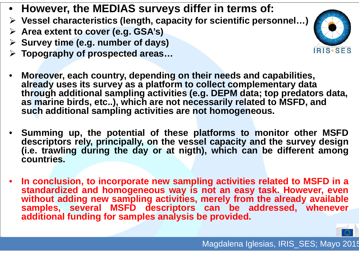- **However, the MEDIAS surveys differ in terms of:**
- **Vessel characteristics (length, capacity for scientific personnel…)**
- **Area extent to cover (e.g. GSA's)**
- **Survey time (e.g. number of days)**
- **Topography of prospected areas…**



- • **Moreover, each country, depending on their needs and capabilities, already uses its survey as a platform to collect complementary data through additional sampling activities (e.g. DEPM data; top predators data, as marine birds, etc..), which are not necessarily related to MSFD, and such additional sampling activities are not homogeneous.**
- • **Summing up, the potential of these platforms to monitor other MSFD descriptors rely, principally, on the vessel capacity and the survey design** (i.e. trawling during the day or at nigth), which can be different among **countries.**
- •In conclusion, to incorporate new sampling activities related to MSFD in a **standardized and homogeneous way is not an easy task. However, even without adding new sampling activities, merely from the already available samples, several MSFD descriptors can be addressed, whenever additional funding for samples analysis be provided.**

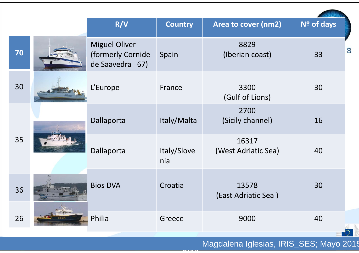|    | R/V                                                          | <b>Country</b>     | Area to cover (nm2)          | Nº of days |
|----|--------------------------------------------------------------|--------------------|------------------------------|------------|
| 70 | <b>Miguel Oliver</b><br>(formerly Cornide<br>de Saavedra 67) | Spain              | 8829<br>(Iberian coast)      | S<br>33    |
| 30 | L'Europe                                                     | France             | 3300<br>(Gulf of Lions)      | 30         |
|    | Dallaporta                                                   | Italy/Malta        | 2700<br>(Sicily channel)     | 16         |
| 35 | Dallaporta                                                   | Italy/Slove<br>nia | 16317<br>(West Adriatic Sea) | 40         |
| 36 | <b>Bios DVA</b>                                              | Croatia            | 13578<br>(East Adriatic Sea) | 30         |
| 26 | Philia                                                       | Greece             | 9000                         | 40         |

*2014*

**ICES** Magdalena Iglesias, IRIS\_SES; Mayo 2015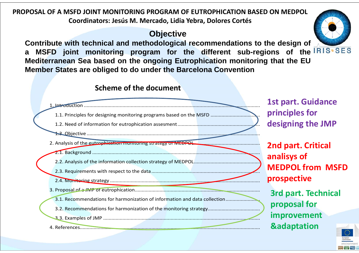#### **PROPOSAL OF A MSFD JOINT MONITORING PROGRAM OF EUTROPHICATION BASED ON MEDPOL Coordinators: Jesús M. Mercado, Lidia Yebra, Dolores Cortés**

#### **Objective**

**Contribute with technical and methodological recommendations to the design of <sup>a</sup> MSFD joint monitoring program for the different sub-regions of the Mediterranean Sea based on the ongoing Eutrophication monitoring that the EU Member States are obliged to do under the Barcelona Convention**



![](_page_9_Picture_4.jpeg)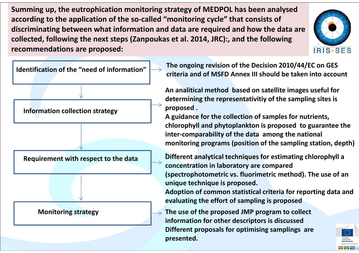**Summing up, the eutrophication monitoring strategy of MEDPOL has been analysed according to the application of the so‐called "monitoring cycle" that consists of discriminating between what information and data are required and how the data are collected, following the next steps (Zanpoukas et al. 2014, JRC):, and the following recommendations are proposed:**

![](_page_10_Picture_1.jpeg)

**Identification of the "need of information"** 

**Information collection strategy**

**Requirement with respect to the data**

#### **Monitoring strategy**

n of the "need of information"  $\left|\rightarrow\right\rangle$  The ongoing revision of the Decision 2010/44/EC on GES<br>criteria and of MSFD Annex III should be taken into account

**An analitical method based on satellite images useful for determining the representativitiy of the sampling sites is proposed .**

**A guidance for the collection of samples for nutrients, chlorophyll and phytoplankton is proposed to guarantee the inter‐comparability of the data among the national monitoring programs (position of the sampling station, depth)**

**.Different analytical techniques for estimating chlorophyll <sup>a</sup> concentration in laboratory are compared (spectrophotometric vs. fluorimetric method). The use of an unique technique is proposed.**

**Adoption of common statistical criteria for reporting data and evaluating the effort of sampling is proposed**

**The use of the proposed JMP program to collect information for other descriptors is discussed Different proposals for optimising samplings are presented.**

![](_page_10_Picture_12.jpeg)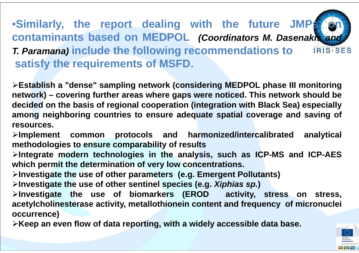#### •**Similarly, the report dealing with the future JMPs on contaminants based on MEDPOL** *(Coordinators M. Dasenakis and T. Paramana)* **include the following recommendations to** IRIS.SES **satisfy the requirements of MSFD.**

**Establish <sup>a</sup> "dense" sampling network (considering MEDPOL phase III monitoring** network) – covering further areas where gaps were noticed. This network should be decided on the basis of regional cooperation (integration with Black Sea) especially **among neighboring countries to ensure adequate spatial coverage and saving of resources.**

**Implement common protocols and harmonized/intercalibrated analytical methodologies to ensure comparability of results**

**Integrate modern technologies in the analysis, such as ICP-MS and ICP-AES which permit the determination of very low concentrations.**

**Investigate the use of other parameters (e.g. Emergent Pollutants)**

**Investigate the use of other sentinel species (e.g.** *Xiphias sp.***)**

**Investigate the use of biomarkers (EROD activity, stress on stress, acetylcholinesterase activity, metallothionein content and frequency of micronuclei occurrence)**

>Keep an even flow of data reporting, with a widely accessible data base.

![](_page_11_Picture_8.jpeg)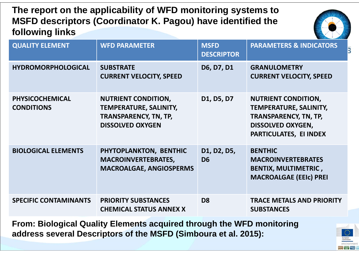**The report on the applicability of WFD monitoring systems to MSFD descriptors (Coordinator K. Pagou) have identified the following links** 

![](_page_12_Picture_1.jpeg)

| <b>QUALITY ELEMENT</b>                      | <b>WFD PARAMETER</b>                                                                                                   | <b>MSFD</b><br><b>DESCRIPTOR</b> | <b>PARAMETERS &amp; INDICATORS</b>                                                                                                         |
|---------------------------------------------|------------------------------------------------------------------------------------------------------------------------|----------------------------------|--------------------------------------------------------------------------------------------------------------------------------------------|
| <b>HYDROMORPHOLOGICAL</b>                   | <b>SUBSTRATE</b><br><b>CURRENT VELOCITY, SPEED</b>                                                                     | D6, D7, D1                       | <b>GRANULOMETRY</b><br><b>CURRENT VELOCITY, SPEED</b>                                                                                      |
| <b>PHYSICOCHEMICAL</b><br><b>CONDITIONS</b> | <b>NUTRIENT CONDITION,</b><br><b>TEMPERATURE, SALINITY,</b><br><b>TRANSPARENCY, TN, TP,</b><br><b>DISSOLVED OXYGEN</b> | D1, D5, D7                       | <b>NUTRIENT CONDITION,</b><br>TEMPERATURE, SALINITY,<br><b>TRANSPARENCY, TN, TP,</b><br><b>DISSOLVED OXYGEN,</b><br>PARTICULATES, EI INDEX |
| <b>BIOLOGICAL ELEMENTS</b>                  | PHYTOPLANKTON, BENTHIC<br><b>MACROINVERTEBRATES,</b><br><b>MACROALGAE, ANGIOSPERMS</b>                                 | D1, D2, D5,<br>D <sub>6</sub>    | <b>BENTHIC</b><br><b>MACROINVERTEBRATES</b><br><b>BENTIX, MULTIMETRIC,</b><br><b>MACROALGAE (EEIC) PREI</b>                                |
| <b>SPECIFIC CONTAMINANTS</b>                | <b>PRIORITY SUBSTANCES</b><br><b>CHEMICAL STATUS ANNEX X</b>                                                           | D <sub>8</sub>                   | <b>TRACE METALS AND PRIORITY</b><br><b>SUBSTANCES</b>                                                                                      |

**From: Biological Quality Elements acquired through the WFD monitoring address several Descriptors of the MSFD (Simboura et al. 2015):**

![](_page_12_Picture_4.jpeg)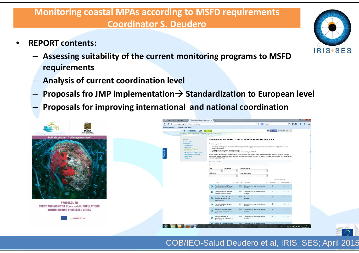#### rumg to ivisito requirements<br>Sepandare **Monitoring coastal MPAs according to MSFD requirements Coordinator S. Deudero**

- • **REPORT contents:**
	- **Assessing suitability of the current monitoring programs to MSFD requirements**
	- **Analysis of current coordination level**
	- –**Proposals fro JMP implementation Standardization to European level**
	- **Proposals for improving international and national coordination**

|                                                                                                                                                                     | ← → B www.medpan.org/en/monitoring-protocolo                                                                                                                                                                         |                                                                                                                                                                                                                                                  | $\overline{\phantom{a}}$ C $\overline{\phantom{a}}$ Coople                                                                                                                                                                                                                                                                                                                                                                                                                               |                          | 户合自                         |  |
|---------------------------------------------------------------------------------------------------------------------------------------------------------------------|----------------------------------------------------------------------------------------------------------------------------------------------------------------------------------------------------------------------|--------------------------------------------------------------------------------------------------------------------------------------------------------------------------------------------------------------------------------------------------|------------------------------------------------------------------------------------------------------------------------------------------------------------------------------------------------------------------------------------------------------------------------------------------------------------------------------------------------------------------------------------------------------------------------------------------------------------------------------------------|--------------------------|-----------------------------|--|
|                                                                                                                                                                     | A Más visitados [ ] Comenzar a usar Finefox                                                                                                                                                                          |                                                                                                                                                                                                                                                  |                                                                                                                                                                                                                                                                                                                                                                                                                                                                                          |                          |                             |  |
| MAITA ENVIRONMENT                                                                                                                                                   | <b>N</b> DISCOVER<br>ACT<br><b>SHARE</b>                                                                                                                                                                             |                                                                                                                                                                                                                                                  |                                                                                                                                                                                                                                                                                                                                                                                                                                                                                          |                          | E2 ( J'aime V Twenter & CL- |  |
| Réseau des gestionnaires d'aires mariers prohigées en Méditerranie<br>Dix définisé of Monagers et Marine Federied Jewes in the Mediterranea<br>& PLANHING AUTHORITY | MedRAN > Share > Resources > Montaring Protocols Directory                                                                                                                                                           |                                                                                                                                                                                                                                                  |                                                                                                                                                                                                                                                                                                                                                                                                                                                                                          |                          |                             |  |
| Outil de gestion / Management tool                                                                                                                                  | SHARE<br>News and Press<br>Resources<br><b>Wroad library</b><br><b>MAPAIRED</b><br><b>Monitoring Protocols</b><br>Directory<br>Mediterranean MPA status<br>Management tool portal<br><b>Unedul links</b><br>Web tips | This directory aims ta:<br>Hediterranean HPAs.<br>. Promote these protocols by sharing them online,<br>. Facilitate access to these protocols by providing a user-thendy search tool.<br>(advice, support, training).<br><b>Free Test Search</b> | Welcome to the DIRECTORY of MONITORING PROTOCOLS<br>. Inventory existing socio-economic and ecological monitoring protocols, particularly froze which can be adapted and ased in<br>Please note that these protocols are provided "as is" and may need to be adapted before being implemented in an IIPA. In any case, if you are<br>interested in implementing a protocol in an MRA, we strongly recommend you to contact the relevant experts in order to benefit from their expertise |                          |                             |  |
|                                                                                                                                                                     |                                                                                                                                                                                                                      | Language<br>Objectives                                                                                                                                                                                                                           | Protocol squres<br>Legal Framework                                                                                                                                                                                                                                                                                                                                                                                                                                                       | $\overline{\phantom{a}}$ | Lexal of difficulty         |  |
|                                                                                                                                                                     |                                                                                                                                                                                                                      | Title                                                                                                                                                                                                                                            | # Year * Objective                                                                                                                                                                                                                                                                                                                                                                                                                                                                       |                          | Collection: 1 Processing 0  |  |
|                                                                                                                                                                     |                                                                                                                                                                                                                      | Reef Fish Watch 2000 Protecel<br>$\sim$<br>distersiator Visual Census)                                                                                                                                                                           | 1996 Characterise the environment and its<br>evelyton                                                                                                                                                                                                                                                                                                                                                                                                                                    | $+2 + 1 + 7$             | 日常日本市                       |  |
|                                                                                                                                                                     |                                                                                                                                                                                                                      | Complage visual de poissons -<br>$\bullet$<br>Utilisation et nise en oeuvre                                                                                                                                                                      | 2001 Characterise the environment and to<br>evalution:                                                                                                                                                                                                                                                                                                                                                                                                                                   | 12141                    | 12242                       |  |
|                                                                                                                                                                     |                                                                                                                                                                                                                      | <b>Underwrater Visual Fish Census</b><br>ο<br>Surveys - Proper use and<br>implementation                                                                                                                                                         | 2002 Characteries the environment and its<br>evel/for                                                                                                                                                                                                                                                                                                                                                                                                                                    | 82141                    | <b>2004</b>                 |  |
| <b>PROTOCOL TO</b><br><b>STUDY AND MONITOR Pinna nobilis POPULATIONS</b>                                                                                            |                                                                                                                                                                                                                      | Reef Watch Benthic Guadrat<br>۰<br>Survey Manual                                                                                                                                                                                                 | 2004 Characterise the environment and to<br>evalution                                                                                                                                                                                                                                                                                                                                                                                                                                    | 12141                    | 12747                       |  |
| <b>WITHIN MARINE PROTECTED AREAS</b>                                                                                                                                |                                                                                                                                                                                                                      | Protectills study and mentor<br>ο<br>Pinna Nobilix populations within<br><b>MPAs</b>                                                                                                                                                             | 2006 Characteries the environment and its<br>evolution                                                                                                                                                                                                                                                                                                                                                                                                                                   | 2341                     | P2 1 =                      |  |
| <b>NINTERREG IIIC</b>                                                                                                                                               |                                                                                                                                                                                                                      | Protocole d'étade et de<br>۰<br>surveillance des populations de<br>Pinna Nobilis                                                                                                                                                                 | 2006 Characterise the environment and its<br>evalution                                                                                                                                                                                                                                                                                                                                                                                                                                   | 12144                    | 12333                       |  |
|                                                                                                                                                                     |                                                                                                                                                                                                                      | <b>No Harnal for Scientific Manitoring</b>                                                                                                                                                                                                       | 2006 Characterise the environment and its                                                                                                                                                                                                                                                                                                                                                                                                                                                | $-32.06$                 | $2 - 1$                     |  |

![](_page_13_Picture_7.jpeg)

#### COB/IEO-Salud Deudero et al, IRIS\_SES; April 201 5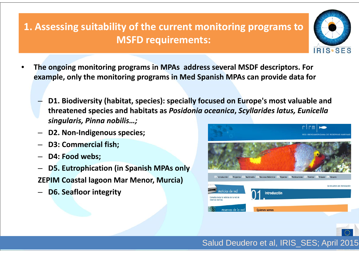ng suitability of Mediterranean Sea **1. Assessing suitability of the current monitoring programs to MSFD requirements:**

- • **The ongoing monitoring programs in MPAs address several MSDF descriptors. For example, only the monitoring programs in Med Spanish MPAs can provide data for**
	- – **D1. Biodiversity (habitat, species): specially focused on Europe's most valuable and threatened species and habitats as** *Posidonia oceanica***,** *Scyllarides latus, Eunicella singularis, Pinna nobilis…;*
	- –**D2. Non‐Indigenous species;**
	- **D3: Commercial fish;**
	- **D4: Food webs;**
	- **D5. Eutrophication (in Spanish MPAs only**
	- **ZEPIM Coastal lagoon Mar Menor, Murcia)**
	- –**D6. Seafloor integrity**

![](_page_14_Picture_9.jpeg)

![](_page_14_Picture_10.jpeg)

![](_page_14_Picture_11.jpeg)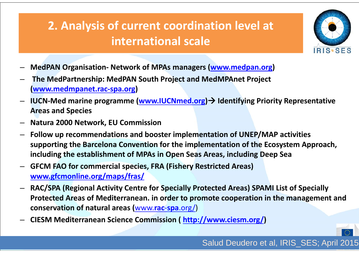#### **MEDIAS HISTORY**Mediterranean Search (Search Control) **2. Analysis of current coordination level at international scale**

![](_page_15_Picture_1.jpeg)

- –**MedPAN Organisation‐ Network of MPAs managers (www.medpan.org)**
- – **The MedPartnership: MedPAN South Project and MedMPAnet Project (www.medmpanet.rac‐spa.org)**
- – **IUCN‐Med marine programme (www.IUCNmed.org) Identifying Priority Representative Areas and Species**
- –**Natura 2000 Network, EU Commission**
- **Follow up recommendations and booster implementation of UNEP/MAP activities supporting the Barcelona Convention for the implementation of the Ecosystem Approach, including the establishment of MPAs in Open Seas Areas, including Deep Sea**
- – **GFCM FAO for commercial species, FRA (Fishery Restricted Areas) www.gfcmonline.org/maps/fras/**
- – **RAC/SPA (Regional Activity Centre for Specially Protected Areas) SPAMI List of Specially Protected Areas of Mediterranean. in order to promote cooperation in the management and conservation of natural areas (**www.**rac**‐**spa**.org/)
- –**CIESM Mediterranean Science Commission ( http://www.ciesm.org/)**

![](_page_15_Picture_10.jpeg)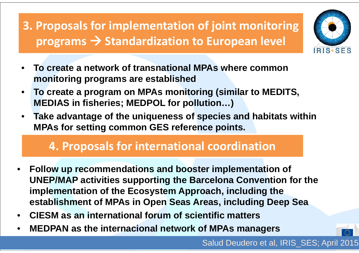**MEDIAS HISTORY**media of the search of the search of the search of the search of the search of the search of the search of the **3. Proposals for implementation of joint monitoring programs Standardization to European level**

![](_page_16_Picture_1.jpeg)

- • **To create a network of transnational MPAs where common monitoring programs are established**
- • **To create a program on MPAs monitoring (similar to MEDITS, MEDIAS in fisheries; MEDPOL for pollution…)**
- $\bullet$  **Take advantage of the uniqueness of species and habitats within MPAs for setting common GES reference points.**

## **4. Proposals for international coordination**

- • **Follow up recommendations and booster implementation of UNEP/MAP activities supporting the Barcelona Convention for the implementation of the Ecosystem Approach, including the establishment of MPAs in Open Seas Areas, including Deep Sea**
- •**CIESM as an international forum of scientific matters**
- •**MEDPAN as the internacional network of MPAs managers**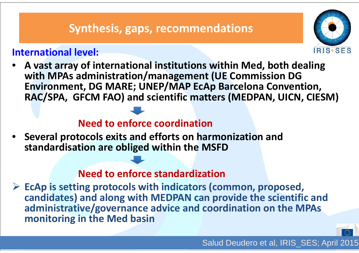## **Synthesis, gaps, recommendations**

### **International level:**

![](_page_17_Picture_2.jpeg)

• **A vast array of international institutions within Med, both dealing with MPAs administration/management (UE Commission DG Environment, DG MARE; UNEP/MAP EcAp Barcelona Convention, RAC/SPA, GFCM FAO) and scientific matters (MEDPAN, UICN, CIESM)**

#### **Need to enforce coordination**

• **Several protocols exits and efforts on harmonization and standardisation are obliged within the MSFD**

#### **Need to enforce standardization**

 **EcAp is setting protocols with indicators (common, proposed, candidates) and along with MEDPAN can provide the scientific and administrative/governance advice and coordination on the MPAs monitoring in the Med basin**

![](_page_17_Picture_8.jpeg)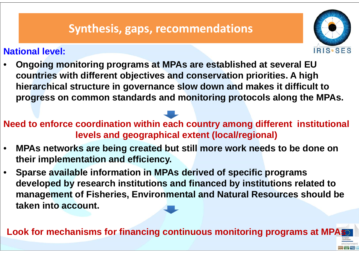### **Synthesis, gaps, recommendations** Mediterranean Sea

#### **National level:**

![](_page_18_Picture_2.jpeg)

• **Ongoing monitoring programs at MPAs are established at several EU countries with different objectives and conservation priorities. A high hierarchical structure in governance slow down and makes it difficult to progress on common standards and monitoring protocols along the MPAs.** 

**Need to enforce coordination within each country among different institutional levels and geographical extent (local/regional)**

- • **MPAs networks are being created but still more work needs to be done on their implementation and efficiency.**
- • **Sparse available information in MPAs derived of specific programs developed by research institutions and financed by institutions related to management of Fisheries, Environmental and Natural Resources should be taken into account.**

**Look for mechanisms for financing continuous monitoring programs at MPAs**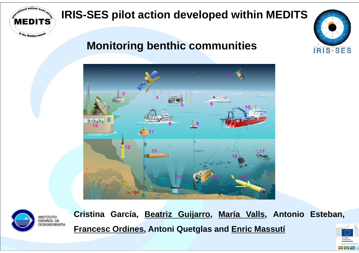![](_page_19_Picture_0.jpeg)

## **IRIS-SES pilot action developed within MEDITS**

## **Monitoring benthic communities**

![](_page_19_Picture_3.jpeg)

![](_page_19_Picture_4.jpeg)

**Cristina García, Beatriz Guijarro, María Valls, Antonio Esteban, Francesc Ordines, Antoni Quetglas and Enric Massutí**

![](_page_19_Picture_6.jpeg)

 $=$  WF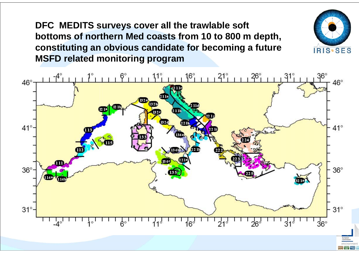**DFC MEDITS surveys cover all the trawlable soft bottoms of northern Med coasts from 10 to 800 m depth, constituting an obvious candidate for becoming a future MSFD related monitoring program**

![](_page_20_Figure_1.jpeg)

![](_page_20_Picture_2.jpeg)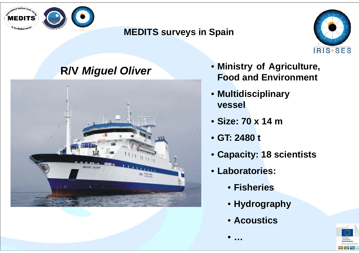![](_page_21_Picture_0.jpeg)

#### **MEDITS surveys in Spain**

![](_page_21_Picture_2.jpeg)

## **R/V** *Miguel Oliver*

![](_page_21_Picture_4.jpeg)

- **Ministry of Agriculture, Food and Environment**
- **Multidisciplinary vessel**
- **Size: 70 x 14 m**
- **GT: 2480 t**

•

**…**

- **Capacity: 18 scientists**
- **Laboratories:**
	- **Fisheries**
	- **Hydrography**
	- **Acoustics**

![](_page_21_Picture_14.jpeg)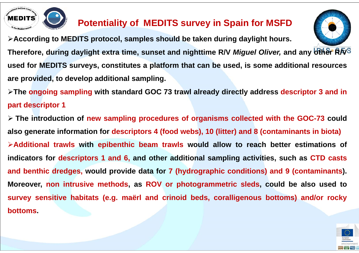![](_page_22_Picture_0.jpeg)

### **Potentiality of MEDITS survey in Spain for MSFD**

**According to MEDITS protocol, samples should be taken during daylight hours.**

![](_page_22_Picture_3.jpeg)

Therefore, during daylight extra time, sunset and nighttime R/V Miguel Oliver, and any other RAS used for MEDITS surveys, constitutes a platform that can be used, is some additional resources **are provided, to develop additional sampling.**

≻The ongoing sampling with standard GOC 73 trawl already directly address descriptor 3 and in **part descriptor 1**

> The introduction of new sampling procedures of organisms collected with the GOC-73 could also generate information for descriptors 4 (food webs), 10 (litter) and 8 (contaminants in biota) ≻Additional trawls with epibenthic beam trawls would allow to reach better estimations of indicators for descriptors 1 and 6, and other additional sampling activities, such as CTD casts and benthic dredges, would provide data for 7 (hydrographic conditions) and 9 (contaminants). Moreover, non intrusive methods, as ROV or photogrammetric sleds, could be also used to survey sensitive habitats (e.g. maerl and crinoid beds, coralligenous bottoms) and/or rocky **bottoms.**

![](_page_22_Picture_7.jpeg)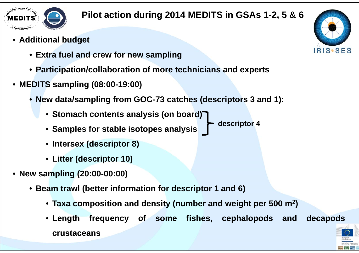![](_page_23_Picture_0.jpeg)

#### **Pilot action during 2014 MEDITS in GSAs 1-2, 5 & 6**

- **Additional budget**
	- **Extra fuel and crew for new sampling**
	- **Participation/collaboration of more technicians and experts**
- **MEDITS sampling (08:00-19:00)**
	- **New data/sampling from GOC-73 catches (descriptors 3 and 1):**
		- **Stomach contents analysis (on board)**
		- **Samples for stable isotopes analysis**
		- **Intersex (descriptor 8)**
		- **Litter (descriptor 10)**
- **New sampling (20:00-00:00)**
	- **Beam trawl (better information for descriptor 1 and 6)**
		- **Taxa composition and density (number and weight per 500 <sup>m</sup>2)**
		- **Length frequency of some fishes, cephalopods and decapods crustaceans**

![](_page_23_Picture_15.jpeg)

![](_page_23_Picture_16.jpeg)